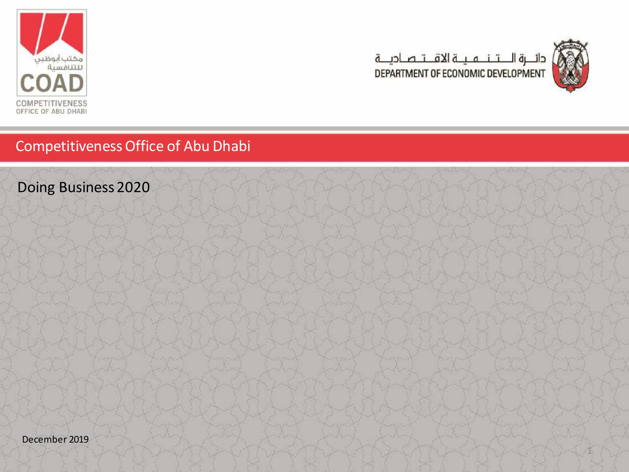



1

## Competitiveness Office of Abu Dhabi

Doing Business 2020

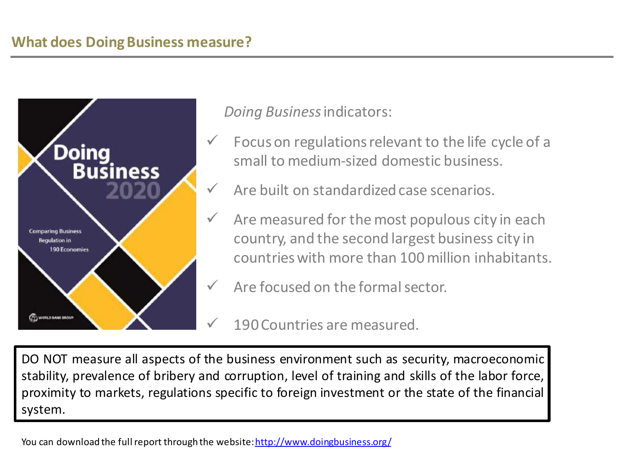## **What does Doing Business measure?**



*Doing Business* indicators:

- Focus on regulations relevant to the life cycle of a small to medium-sized domestic business.
- Are built on standardized case scenarios.
- $\checkmark$  Are measured for the most populous city in each country, and the second largest business city in countries with more than 100 million inhabitants.
	- Are focused on the formal sector.

190 Countries are measured.

DO NOT measure all aspects of the business environment such as security, macroeconomic stability, prevalence of bribery and corruption, level of training and skills of the labor force, proximity to markets, regulations specific to foreign investment or the state of the financial system.

You can download the full report through the website:<http://www.doingbusiness.org/>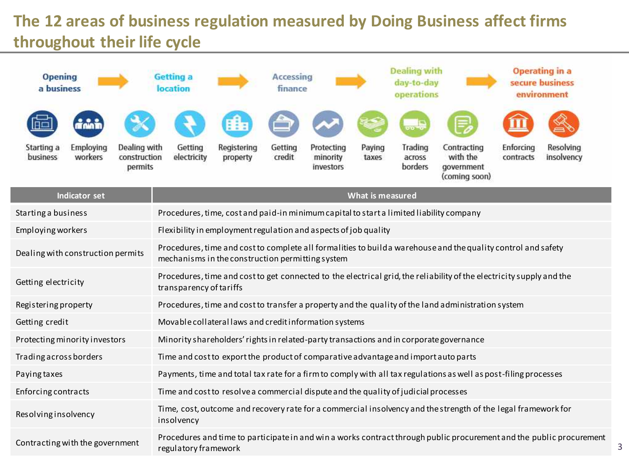# **The 12 areas of business regulation measured by Doing Business affect firms throughout their life cycle**

| <b>Opening</b><br>a business                   |                                         | Getting a<br>location                                                                   |                                                                                                                                                                   | Accessing<br>finance |                                     |                         | <b>Dealing with</b><br>day-to-day<br>operations |                                                                                                                      |                        | <b>Operating in a</b><br>secure business<br>environment                                                              |  |
|------------------------------------------------|-----------------------------------------|-----------------------------------------------------------------------------------------|-------------------------------------------------------------------------------------------------------------------------------------------------------------------|----------------------|-------------------------------------|-------------------------|-------------------------------------------------|----------------------------------------------------------------------------------------------------------------------|------------------------|----------------------------------------------------------------------------------------------------------------------|--|
| Employing<br>Starting a<br>business<br>workers | Dealing with<br>construction<br>permits | Getting<br>electricity                                                                  | Registering<br>property                                                                                                                                           | Getting<br>credit    | Protecting<br>minority<br>investors | Paying<br>taxes         | Trading<br>across<br>borders                    | Contracting<br>with the<br>government                                                                                | Enforcing<br>contracts | Resolving<br>insolvency                                                                                              |  |
| <b>Indicator set</b>                           |                                         |                                                                                         |                                                                                                                                                                   |                      |                                     | <b>What is measured</b> |                                                 | (coming soon)                                                                                                        |                        |                                                                                                                      |  |
|                                                |                                         |                                                                                         |                                                                                                                                                                   |                      |                                     |                         |                                                 |                                                                                                                      |                        |                                                                                                                      |  |
| Starting a business                            |                                         | Procedures, time, cost and paid-in minimum capital to start a limited liability company |                                                                                                                                                                   |                      |                                     |                         |                                                 |                                                                                                                      |                        |                                                                                                                      |  |
| Employing workers                              |                                         | Flexibility in employment regulation and aspects of job quality                         |                                                                                                                                                                   |                      |                                     |                         |                                                 |                                                                                                                      |                        |                                                                                                                      |  |
| Dealing with construction permits              |                                         |                                                                                         | Procedures, time and cost to complete all formalities to build a warehouse and the quality control and safety<br>mechanisms in the construction permitting system |                      |                                     |                         |                                                 |                                                                                                                      |                        |                                                                                                                      |  |
| Getting electricity                            |                                         | transparency of tariffs                                                                 |                                                                                                                                                                   |                      |                                     |                         |                                                 | Procedures, time and cost to get connected to the electrical grid, the reliability of the electricity supply and the |                        |                                                                                                                      |  |
| Registering property                           |                                         |                                                                                         |                                                                                                                                                                   |                      |                                     |                         |                                                 | Procedures, time and cost to transfer a property and the quality of the land administration system                   |                        |                                                                                                                      |  |
| Getting credit                                 |                                         | Movable collateral laws and credit information systems                                  |                                                                                                                                                                   |                      |                                     |                         |                                                 |                                                                                                                      |                        |                                                                                                                      |  |
| Protecting minority investors                  |                                         | Minority shareholders' rights in related-party transactions and in corporate governance |                                                                                                                                                                   |                      |                                     |                         |                                                 |                                                                                                                      |                        |                                                                                                                      |  |
| Trading across borders                         |                                         | Time and cost to export the product of comparative advantage and import auto parts      |                                                                                                                                                                   |                      |                                     |                         |                                                 |                                                                                                                      |                        |                                                                                                                      |  |
| Paying taxes                                   |                                         |                                                                                         |                                                                                                                                                                   |                      |                                     |                         |                                                 | Payments, time and total tax rate for a firm to comply with all tax regulations as well as post-filing processes     |                        |                                                                                                                      |  |
| Enforcing contracts                            |                                         | Time and cost to resolve a commercial dispute and the quality of judicial processes     |                                                                                                                                                                   |                      |                                     |                         |                                                 |                                                                                                                      |                        |                                                                                                                      |  |
| Resolvinginsolvency                            |                                         | insolvency                                                                              |                                                                                                                                                                   |                      |                                     |                         |                                                 | Time, cost, outcome and recovery rate for a commercial insolvency and the strength of the legal framework for        |                        |                                                                                                                      |  |
| Contracting with the government                |                                         | regulatory framework                                                                    |                                                                                                                                                                   |                      |                                     |                         |                                                 |                                                                                                                      |                        | Procedures and time to participate in and win a works contract through public procurement and the public procurement |  |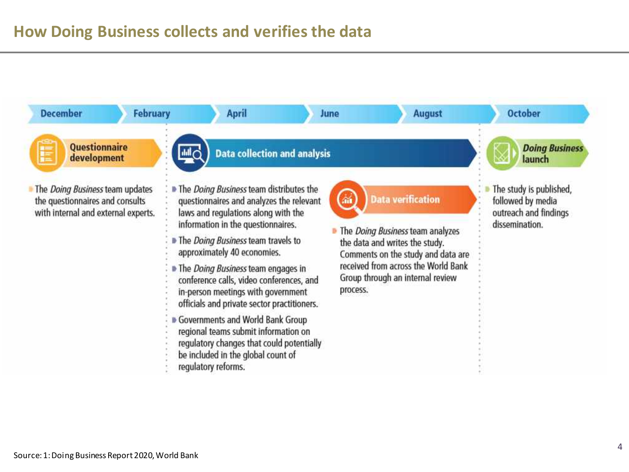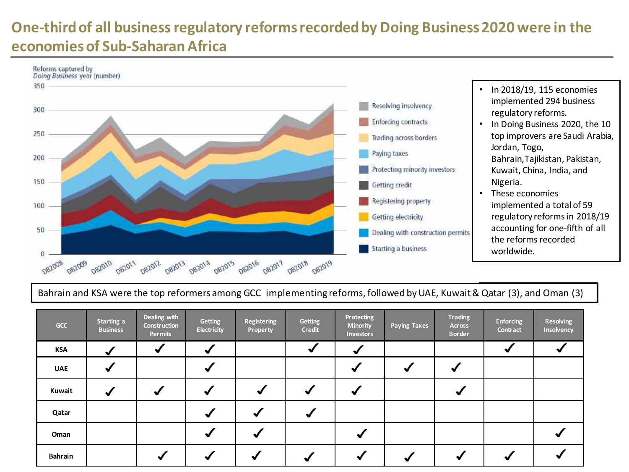# **One-third of all business regulatory reforms recorded by Doing Business 2020 were in the economies of Sub-Saharan Africa**



### Bahrain and KSA were the top reformers among GCC implementing reforms, followed byUAE, Kuwait& Qatar (3), and Oman (3)

| GCC            | Starting a<br><b>Business</b> | Dealing with<br><b>Construction</b><br>Permits | Getting<br><b>Electricity</b> | <b>Registering</b><br><b>Property</b> | Getting<br><b>Credit</b> | Protecting<br><b>Minority</b><br><b>Investors</b> | <b>Paying Taxes</b> | <b>Trading</b><br>Across<br><b>Border</b> | Enforcing<br>Contract | Resolving<br>Insolvency |
|----------------|-------------------------------|------------------------------------------------|-------------------------------|---------------------------------------|--------------------------|---------------------------------------------------|---------------------|-------------------------------------------|-----------------------|-------------------------|
| <b>KSA</b>     |                               |                                                |                               |                                       |                          |                                                   |                     |                                           |                       |                         |
| <b>UAE</b>     |                               |                                                |                               |                                       |                          |                                                   |                     |                                           |                       |                         |
| Kuwait         |                               |                                                |                               |                                       |                          |                                                   |                     |                                           |                       |                         |
| Qatar          |                               |                                                |                               |                                       |                          |                                                   |                     |                                           |                       |                         |
| Oman           |                               |                                                |                               |                                       |                          |                                                   |                     |                                           |                       |                         |
| <b>Bahrain</b> |                               |                                                |                               |                                       |                          |                                                   |                     |                                           |                       |                         |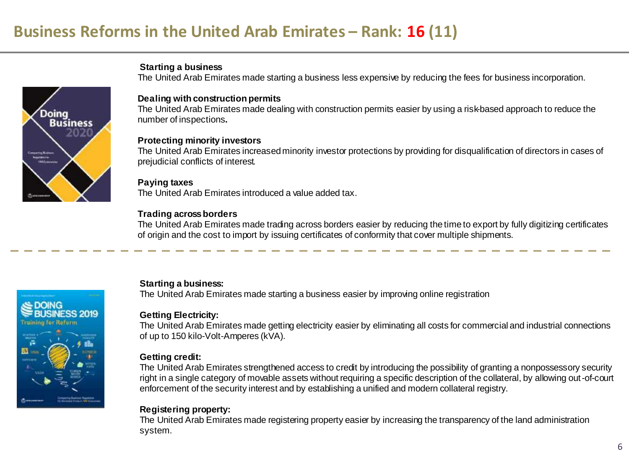**Starting a business**



**SE DOING** 

### **Dealing with construction permits**

The United Arab Emirates made dealing with construction permits easier by using a risk-based approach to reduce the number of inspections**.** 

The United Arab Emirates made starting a business less expensive by reducing the fees for business incorporation.

#### **Protecting minority investors**

The United Arab Emirates increased minority investor protections by providing for disqualification of directors in cases of prejudicial conflicts of interest.

#### **Paying taxes**

The United Arab Emirates introduced a value added tax.

### **Trading across borders**

The United Arab Emirates made trading across borders easier by reducing the time to export by fully digitizing certificates of origin and the cost to import by issuing certificates of conformity that cover multiple shipments.

### **Starting a business:**

The United Arab Emirates made starting a business easier by improving online registration

### **Getting Electricity:**

The United Arab Emirates made getting electricity easier by eliminating all costs for commercial and industrial connections of up to 150 kilo-Volt-Amperes (kVA).

#### **Getting credit:**

The United Arab Emirates strengthened access to credit by introducing the possibility of granting a nonpossessory security right in a single category of movable assets without requiring a specific description of the collateral, by allowing out-of-court enforcement of the security interest and by establishing a unified and modern collateral registry.

### **Registering property:**

The United Arab Emirates made registering property easier by increasing the transparency of the land administration system.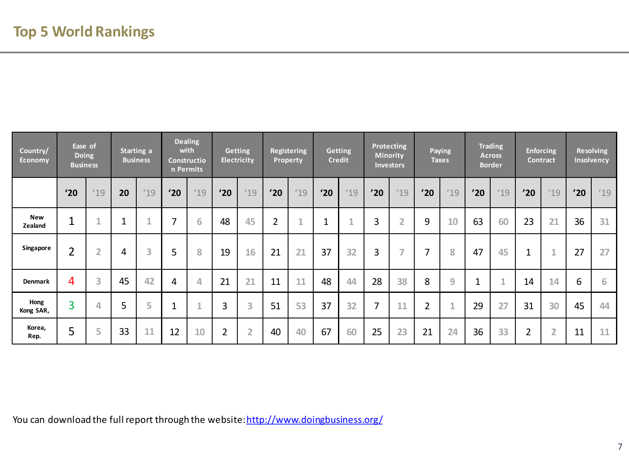| Country/<br><b>Economy</b> | Ease of<br><b>Doing</b><br><b>Business</b> |                |    | Starting a<br><b>Business</b> | with | <b>Dealing</b><br>Constructio<br>n Permits |                | <b>Getting</b><br><b>Electricity</b> |                | Registering<br><b>Property</b> |     | <b>Getting</b><br><b>Credit</b> |     | Protecting<br>Minority<br><b>Investors</b> |                | Paying<br><b>Taxes</b> |              | <b>Trading</b><br><b>Across</b><br><b>Border</b> |                | <b>Enforcing</b><br><b>Contract</b> |     | <b>Resolving</b><br>Insolvency |
|----------------------------|--------------------------------------------|----------------|----|-------------------------------|------|--------------------------------------------|----------------|--------------------------------------|----------------|--------------------------------|-----|---------------------------------|-----|--------------------------------------------|----------------|------------------------|--------------|--------------------------------------------------|----------------|-------------------------------------|-----|--------------------------------|
|                            | '20                                        | 19             | 20 | 19                            | '20  | 19                                         | '20            | 19                                   | '20            | 19                             | '20 | 19                              | '20 | 19                                         | '20            | 19                     | '20          | 19                                               | '20            | 19                                  | '20 | 19                             |
| <b>New</b><br>Zealand      | $\mathbf 1$                                | $\sim$<br>J.   | ٠  | 4<br>a.                       | 7    | 6                                          | 48             | 45                                   | $\overline{2}$ | ×.                             |     |                                 | 3   | $\overline{2}$                             | 9              | 10                     | 63           | 60                                               | 23             | 21                                  | 36  | 31                             |
| Singapore                  | $\overline{2}$                             | $\overline{2}$ | 4  | 3                             | 5    | 8                                          | 19             | 16                                   | 21             | 21                             | 37  | 32                              | 3   | $\overline{\phantom{a}}$                   | 7              | 8                      | 47           | 45                                               | $\mathbf 1$    | 1                                   | 27  | 27                             |
| Denmark                    | 4                                          | 3              | 45 | 42                            | 4    | 4                                          | 21             | 21                                   | 11             | 11                             | 48  | 44                              | 28  | 38                                         | 8              | 9                      | $\mathbf{1}$ | $\sqrt{2}$                                       | 14             | 14                                  | 6   | 6                              |
| Hong<br>Kong SAR,          | 3                                          | 4              | 5  | 5                             | ٠    | 4                                          | 3              | 3                                    | 51             | 53                             | 37  | 32                              | 7   | 11                                         | $\overline{2}$ | $\mathbf{1}$           | 29           | 27                                               | 31             | 30                                  | 45  | 44                             |
| Korea.<br>Rep.             | 5                                          | 5              | 33 | 11                            | 12   | 10                                         | $\overline{2}$ | $\overline{2}$                       | 40             | 40                             | 67  | 60                              | 25  | 23                                         | 21             | 24                     | 36           | 33                                               | $\overline{2}$ | $\overline{2}$                      | 11  | 11                             |

You can download the full report through the website:<http://www.doingbusiness.org/>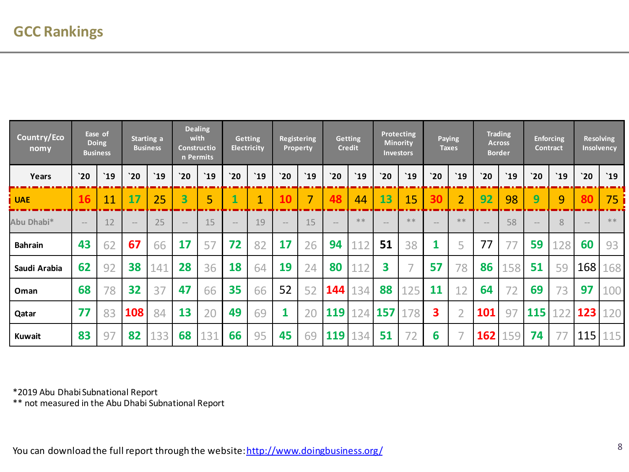| Country/Eco<br>nomy |        | Ease of<br><b>Doing</b><br><b>Business</b> |        | Starting a<br><b>Business</b> |           | <b>Dealing</b><br>with<br><b>Constructio</b><br>n Permits |                   | <b>Getting</b><br><b>Electricity</b> |        | <b>Registering</b><br><b>Property</b> |             | <b>Getting</b><br><b>Credit</b> |             | Protecting<br><b>Minority</b><br><b>Investors</b> |                   | Paying<br><b>Taxes</b> |        | <b>Trading</b><br><b>Across</b><br><b>Border</b> | Contract                            | <b>Enforcing</b> |                   | <b>Resolving</b><br>Insolvency |
|---------------------|--------|--------------------------------------------|--------|-------------------------------|-----------|-----------------------------------------------------------|-------------------|--------------------------------------|--------|---------------------------------------|-------------|---------------------------------|-------------|---------------------------------------------------|-------------------|------------------------|--------|--------------------------------------------------|-------------------------------------|------------------|-------------------|--------------------------------|
| Years               | 20     | $^{\text{19}}$                             | 20     | `19                           | 20        | `19                                                       | 20                | $^{\circ}19$                         | 20     | $^{\circ}19$                          | $\dot{}$ 20 | `19                             | $\dot{}$ 20 | `19                                               | 20                | `19                    | 20     | `19                                              | 20                                  | `19              | 20                | $^{\prime}19$                  |
| <b>UAE</b>          | 16     | 11                                         | 17     | 25                            | 3         | 5                                                         |                   | $\overline{1}$                       |        | 7                                     | 48          | 44                              | 13          | 15                                                | 30                | $\overline{2}$         | 92     | 98                                               | 9                                   | 9                | 80                | 75                             |
| Abu Dhabi*          | $-\,-$ | 12                                         | $-\,-$ | 25                            | $-\!$ $-$ | 15                                                        | $\qquad \qquad -$ | 19                                   | $-\,-$ | 15                                    |             | $**$                            |             | $**$                                              | $\qquad \qquad -$ | $**$                   | $-\,-$ | 58                                               | $\hspace{0.1mm}\rule{0.7pt}{0.1mm}$ | 8                | $\qquad \qquad -$ | $* *$                          |
| <b>Bahrain</b>      | 43     | 62                                         | 67     | 66                            | 17        | 57                                                        | 72                | 82                                   | 17     | 26                                    | 94          | 112                             | 51          | 38                                                |                   | 5                      | 77     |                                                  | 59                                  | 128              | 60                | 93                             |
| Saudi Arabia        | 62     | 92                                         | 38     | 141                           | 28        | 36                                                        | 18                | 64                                   | 19     | 24                                    | 80          | 112                             | 3           | $\overline{\phantom{0}}$                          | 57                | 78                     | 86     | 158                                              | 51                                  | 59               | 168               | 168                            |
| Oman                | 68     | 78                                         | 32     | 37                            | 47        | 66                                                        | 35                | 66                                   | 52     | 52                                    | 144         | 134                             | 88          | 125                                               | 11                | 12                     | 64     | 72                                               | 69                                  | 73               | 97                | 100                            |
| Qatar               | 77     | 83                                         | 108    | 84                            | 13        | 20                                                        | 49                | 69                                   | 1      | 20                                    | 119         | 124                             | 157         | 78<br>17                                          | 3                 | $\overline{2}$         | 101    | 97                                               | 115                                 | 122              | 123               | 120                            |
| <b>Kuwait</b>       | 83     | 97                                         | 82     | 133                           | 68        | 131                                                       | 66                | 95                                   | 45     | 69                                    | 119         | 134                             | 51          | 72                                                | 6                 |                        | 162    | 159                                              | 74                                  |                  | $115$   115       |                                |

\*2019 Abu Dhabi Subnational Report

\*\* not measured in the Abu Dhabi Subnational Report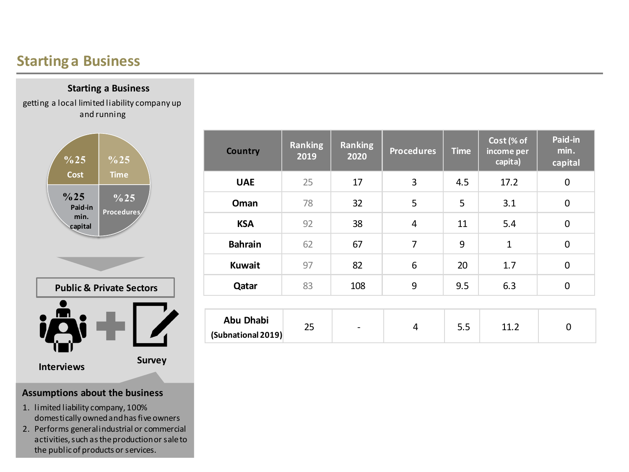## **Starting a Business**

**Starting a Business**

getting a local limited liability company up and running



- 1. limited liability company, 100% domestically owned and has five owners
- 2. Performs general industrial or commercial activities, such as the production or sale to the public of products or services.

| <b>Country</b>                         | <b>Ranking</b><br>2019 | <b>Ranking</b><br>2020       | <b>Procedures</b> | <b>Time</b> | Cost (% of<br>income per<br>capita) | Paid-in<br>min.<br>capital |
|----------------------------------------|------------------------|------------------------------|-------------------|-------------|-------------------------------------|----------------------------|
| <b>UAE</b>                             | 25                     | 17                           | 3                 | 4.5         | 17.2                                | $\mathbf 0$                |
| Oman                                   | 78                     | 32                           | 5                 | 5           | 3.1                                 | $\mathbf 0$                |
| <b>KSA</b>                             | 92                     | 38                           | 4                 | 11          | 5.4                                 | $\mathbf 0$                |
| <b>Bahrain</b>                         | 62                     | 67                           | $\overline{7}$    | 9           | $\mathbf{1}$                        | $\mathbf 0$                |
| <b>Kuwait</b>                          | 97                     | 82                           | 6                 | 20          | 1.7                                 | $\mathbf 0$                |
| Qatar                                  | 83                     | 108                          | 9                 | 9.5         | 6.3                                 | $\mathbf 0$                |
|                                        |                        |                              |                   |             |                                     |                            |
| <b>Abu Dhabi</b><br>(Subnational 2019) | 25                     | $\qquad \qquad \blacksquare$ | 4                 | 5.5         | 11.2                                | 0                          |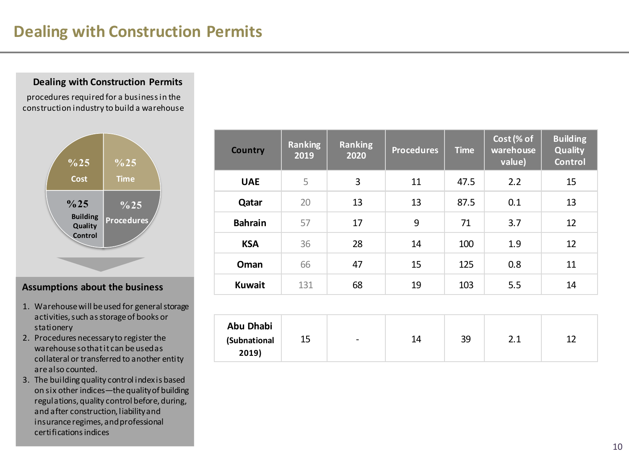# **Dealing with Construction Permits**

### **Dealing with Construction Permits**

procedures required for a business in the construction industry to build a warehouse



### **Assumptions about the business**

- 1. Warehouse will be used for general storage activities, such as storage of books or stationery
- 2. Procedures necessary to register the warehouse so that it can be used as collateral or transferred to another entity are also counted.

**2019)**

3. The building quality control index is based on six other indices—the quality of building regulations, quality control before, during, and after construction, liability and insurance regimes, and professional certifications indices

| <b>Country</b>                   | <b>Ranking</b><br>2019 | <b>Ranking</b><br>2020 | <b>Procedures</b> | <b>Time</b> | Cost (% of<br>warehouse<br>value) | <b>Building</b><br><b>Quality</b><br><b>Control</b> |
|----------------------------------|------------------------|------------------------|-------------------|-------------|-----------------------------------|-----------------------------------------------------|
| <b>UAE</b>                       | 5                      | 3                      | 11                | 47.5        | 2.2                               | 15                                                  |
| Qatar                            | 20                     | 13                     | 13                | 87.5        | 0.1                               | 13                                                  |
| <b>Bahrain</b>                   | 57                     | 17                     | 9                 | 71          | 3.7                               | 12                                                  |
| <b>KSA</b>                       | 36                     | 28                     | 14                | 100         | 1.9                               | 12                                                  |
| Oman                             | 66                     | 47                     | 15                | 125         | 0.8                               | 11                                                  |
| <b>Kuwait</b>                    | 131                    | 68                     | 19                | 103         | 5.5                               | 14                                                  |
|                                  |                        |                        |                   |             |                                   |                                                     |
| <b>Abu Dhabi</b><br>(Subnational | 15                     |                        | 14                | 39          | 2.1                               | 12                                                  |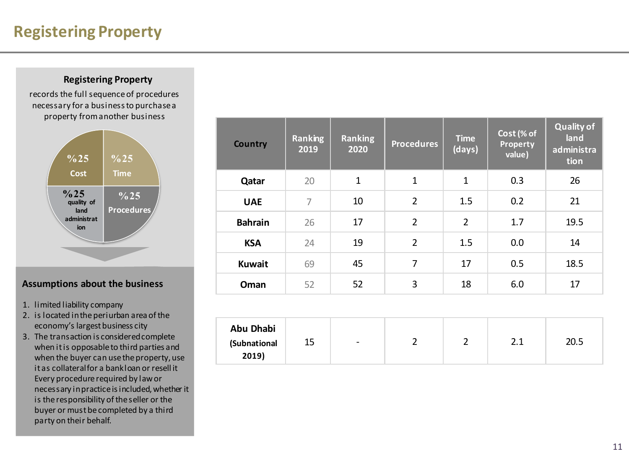# **Registering Property**

### **Registering Property**

records the full sequence of procedures necessary for a business to purchase a property from another business



- 1. limited liability company
- 2. is located in the periurban area of the economy's largest business city
- 3. The transaction is considered complete when it is opposable to third parties and when the buyer can use the property, use it as collateral for a bank loan or resell it Every procedure required by law or necessary in practice is included, whether it is the responsibility of the seller or the buyer or must be completed by a third party on their behalf.

| <b>Country</b>                     | <b>Ranking</b><br>2019 | <b>Ranking</b><br>2020 | <b>Procedures</b> | <b>Time</b><br>(days) | Cost (% of<br><b>Property</b><br>value) | <b>Quality of</b><br>land<br>administra<br>tion |
|------------------------------------|------------------------|------------------------|-------------------|-----------------------|-----------------------------------------|-------------------------------------------------|
| Qatar                              | 20                     | $\mathbf{1}$           | $\mathbf{1}$      | $\mathbf{1}$          | 0.3                                     | 26                                              |
| <b>UAE</b>                         | $\overline{7}$         | 10                     | $\overline{2}$    | 1.5                   | 0.2                                     | 21                                              |
| <b>Bahrain</b>                     | 26                     | 17                     | $\overline{2}$    | $\overline{2}$        | 1.7                                     | 19.5                                            |
| <b>KSA</b>                         | 24                     | 19                     | $\overline{2}$    | 1.5                   | 0.0                                     | 14                                              |
| <b>Kuwait</b>                      | 69                     | 45                     | $\overline{7}$    | 17                    | 0.5                                     | 18.5                                            |
| Oman                               | 52                     | 52                     | 3                 | 18                    | 6.0                                     | 17                                              |
|                                    |                        |                        |                   |                       |                                         |                                                 |
| Abu Dhabi<br>(Subnational<br>2019) | 15                     |                        | $\overline{2}$    | $\overline{2}$        | 2.1                                     | 20.5                                            |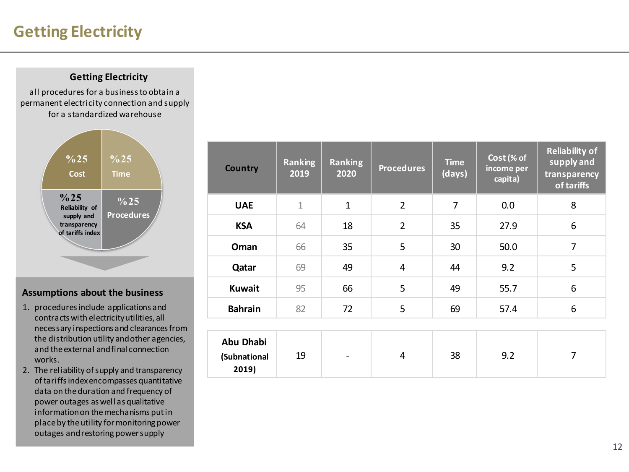# **Getting Electricity**

### **Getting Electricity**

all procedures for a business to obtain a permanent electricity connection and supply for a standardized warehouse



- 1. procedures include applications and contracts with electricity utilities, all necessary inspections and clearances from the distribution utility and other agencies, and the external and final connection works.
- 2. The reliability of supply and transparency of tariffs index encompasses quantitative data on the duration and frequency of power outages as well as qualitative information on the mechanisms put in place by the utility for monitoring power outages and restoring power supply

| <b>Country</b>                            | <b>Ranking</b><br>2019 | <b>Ranking</b><br>2020   | <b>Procedures</b> | <b>Time</b><br>(days) | Cost (% of<br>income per<br>capita) | <b>Reliability of</b><br>supply and<br>transparency<br>of tariffs |
|-------------------------------------------|------------------------|--------------------------|-------------------|-----------------------|-------------------------------------|-------------------------------------------------------------------|
| <b>UAE</b>                                | 1                      | $\mathbf{1}$             | $\overline{2}$    | 7                     | 0.0                                 | 8                                                                 |
| <b>KSA</b>                                | 64                     | 18                       | $\overline{2}$    | 35                    | 27.9                                | 6                                                                 |
| Oman                                      | 66                     | 35                       | 5                 | 30                    | 50.0                                | 7                                                                 |
| Qatar                                     | 69                     | 49                       | $\overline{4}$    | 44                    | 9.2                                 | 5                                                                 |
| <b>Kuwait</b>                             | 95                     | 66                       | 5                 | 49                    | 55.7                                | 6                                                                 |
| <b>Bahrain</b>                            | 82                     | 72                       | 5                 | 69                    | 57.4                                | 6                                                                 |
|                                           |                        |                          |                   |                       |                                     |                                                                   |
| <b>Abu Dhabi</b><br>(Subnational<br>2019) | 19                     | $\overline{\phantom{a}}$ | $\overline{4}$    | 38                    | 9.2                                 | 7                                                                 |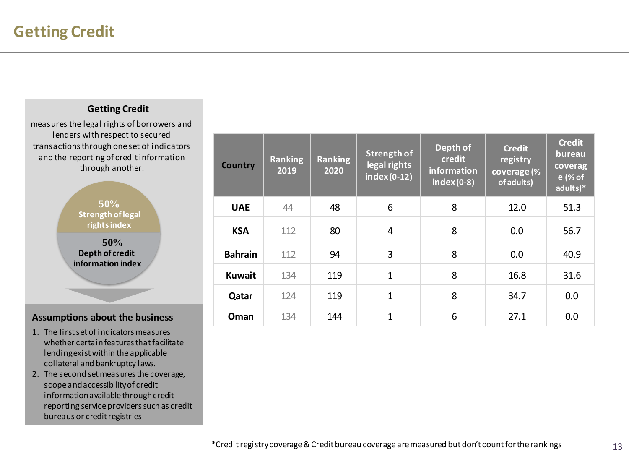### **Getting Credit**

measures the legal rights of borrowers and lenders with respect to secured transactions through one set of indicators and the reporting of credit information through another.



- 1. The first set of indicators measures whether certain features that facilitate lending exist within the applicable collateral and bankruptcy laws.
- 2. The second set measures the coverage, scope and accessibility of credit information available through credit reporting service providers such as credit bureaus or credit registries

| <b>Country</b> | <b>Ranking</b><br>2019 | <b>Ranking</b><br>2020 | Strength of<br>legal rights<br>$index(0-12)$ | Depth of<br>credit<br>information<br>$index(0-8)$ | <b>Credit</b><br>registry<br>coverage (%<br>of adults) | <b>Credit</b><br>bureau<br>coverag<br>e (% of<br>adults)* |
|----------------|------------------------|------------------------|----------------------------------------------|---------------------------------------------------|--------------------------------------------------------|-----------------------------------------------------------|
| <b>UAE</b>     | 44                     | 48                     | 6                                            | 8                                                 | 12.0                                                   | 51.3                                                      |
| <b>KSA</b>     | 112                    | 80                     | 4                                            | 8                                                 | 0.0                                                    | 56.7                                                      |
| <b>Bahrain</b> | 112                    | 94                     | 3                                            | 8                                                 | 0.0                                                    | 40.9                                                      |
| <b>Kuwait</b>  | 134                    | 119                    | $\mathbf{1}$                                 | 8                                                 | 16.8                                                   | 31.6                                                      |
| Qatar          | 124                    | 119                    | $\mathbf{1}$                                 | 8                                                 | 34.7                                                   | 0.0                                                       |
| Oman           | 134                    | 144                    | $\mathbf{1}$                                 | 6                                                 | 27.1                                                   | 0.0                                                       |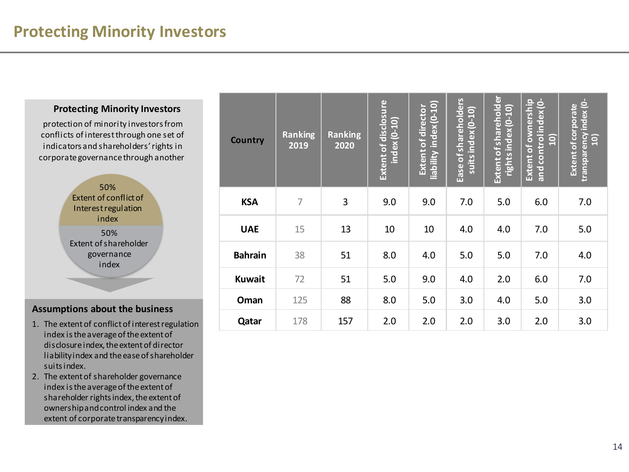### **Protecting Minority Investors**

protection of minority investors from conflicts of interest through one set of indicators and shareholders' rights in corporate governance through another



- 1. The extent of conflict of interest regulation index is the average of the extent of disclosure index, the extent of director liability index and the ease of shareholder suits index.
- 2. The extent of shareholder governance index is the average of the extent of shareholder rights index, the extent of ownership and control index and the extent of corporate transparency index.

| <b>Country</b> | <b>Ranking</b><br>2019 | <b>Ranking</b><br>2020 | Extent of disclosure<br>$index(0-10)$ | liability index (0-10)<br><b>Extent of director</b> | Ease of shareholders<br>suits index (0-10) | Extent of shareholder<br>rights index (0-10) | Extent of ownership<br>and control index (0-<br><u>ទ</u> | transparency index (0-<br><b>Extent of corporate</b><br>$\overline{10}$ |
|----------------|------------------------|------------------------|---------------------------------------|-----------------------------------------------------|--------------------------------------------|----------------------------------------------|----------------------------------------------------------|-------------------------------------------------------------------------|
| <b>KSA</b>     | 7                      | 3                      | 9.0                                   | 9.0                                                 | 7.0                                        | 5.0                                          | 6.0                                                      | 7.0                                                                     |
| <b>UAE</b>     | 15                     | 13                     | 10                                    | 10                                                  | 4.0                                        | 4.0                                          | 7.0                                                      | 5.0                                                                     |
| <b>Bahrain</b> | 38                     | 51                     | 8.0                                   | 4.0                                                 | 5.0                                        | 5.0                                          | 7.0                                                      | 4.0                                                                     |
| <b>Kuwait</b>  | 72                     | 51                     | 5.0                                   | 9.0                                                 | 4.0                                        | 2.0                                          | 6.0                                                      | 7.0                                                                     |
| Oman           | 125                    | 88                     | 8.0                                   | 5.0                                                 | 3.0                                        | 4.0                                          | 5.0                                                      | 3.0                                                                     |
| Qatar          | 178                    | 157                    | 2.0                                   | 2.0                                                 | 2.0                                        | 3.0                                          | 2.0                                                      | 3.0                                                                     |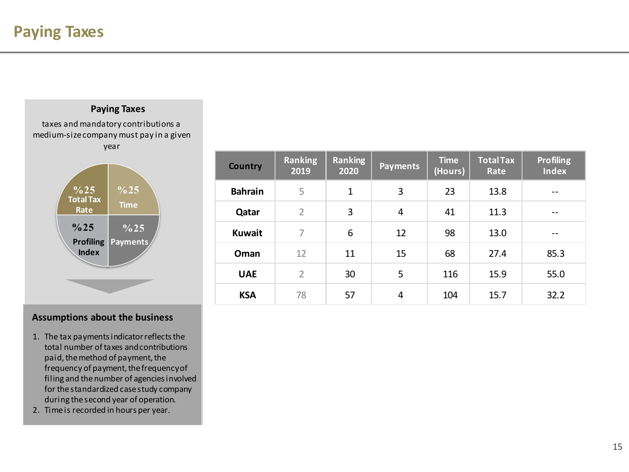## **Paying Taxes** taxes and mandatory contributions a medium-size company must pay in a given year  $\frac{9}{6}$ 25  $\frac{1}{2}$   $\frac{9}{6}$ 25 **Total Tax**

**Profiling Payments** 

**Rate**

**%25**

**Index** 

**Time**

**%25**

- 1. The tax payments indicator reflects the total number of taxes and contributions paid, the method of payment, the frequency of payment, the frequency of filing and the number of agencies involved for the standardized case study company during the second year of operation.
- 2. Time is recorded in hours per year.

| <b>Country</b> | <b>Ranking</b><br>2019 | <b>Ranking</b><br>2020 | <b>Payments</b> | <b>Time</b><br>(Hours) | <b>Total Tax</b><br>Rate | <b>Profiling</b><br><b>Index</b> |
|----------------|------------------------|------------------------|-----------------|------------------------|--------------------------|----------------------------------|
| <b>Bahrain</b> | 5                      | 1                      | 3               | 23                     | 13.8                     | --                               |
| Qatar          | $\overline{2}$         | 3                      | 4               | 41                     | 11.3                     | --                               |
| <b>Kuwait</b>  | 7                      | 6                      | 12              | 98                     | 13.0                     | --                               |
| Oman           | 12                     | 11                     | 15              | 68                     | 27.4                     | 85.3                             |
| <b>UAE</b>     | $\overline{2}$         | 30                     | 5               | 116                    | 15.9                     | 55.0                             |
| <b>KSA</b>     | 78                     | 57                     | 4               | 104                    | 15.7                     | 32.2                             |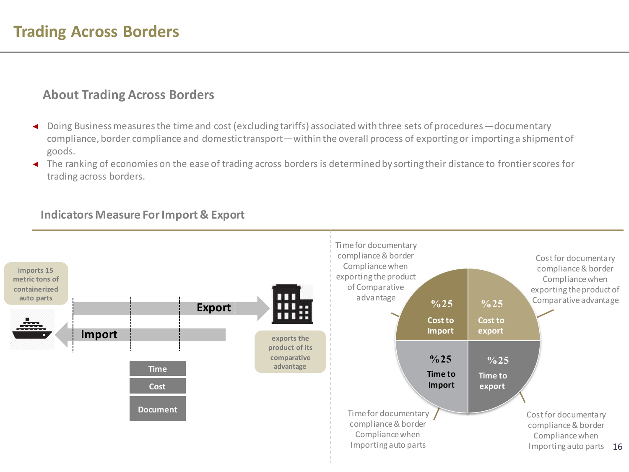### **About Trading Across Borders**

- ◄ Doing Business measures the time and cost (excluding tariffs) associated with three sets of procedures—documentary compliance, border compliance and domestic transport—within the overall process of exporting or importing a shipment of goods.
- ◄ The ranking of economies on the ease of trading across borders is determined by sorting their distance to frontier scores for trading across borders.

### **Indicators Measure For Import & Export**

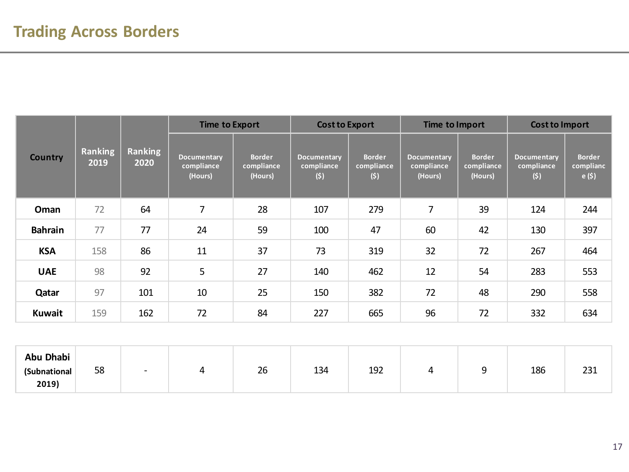|                |                 |                 | <b>Time to Export</b>                |                                        | <b>Cost to Export</b>            |                                    | Time to Import                       |                                        | <b>Cost to Import</b>            |                                    |
|----------------|-----------------|-----------------|--------------------------------------|----------------------------------------|----------------------------------|------------------------------------|--------------------------------------|----------------------------------------|----------------------------------|------------------------------------|
| <b>Country</b> | Ranking<br>2019 | Ranking<br>2020 | Documentary<br>compliance<br>(Hours) | <b>Border</b><br>compliance<br>(Hours) | Documentary<br>compliance<br>(5) | <b>Border</b><br>compliance<br>(5) | Documentary<br>compliance<br>(Hours) | <b>Border</b><br>compliance<br>(Hours) | Documentary<br>compliance<br>(s) | <b>Border</b><br>complianc<br>e(5) |
| Oman           | 72              | 64              | $\overline{7}$                       | 28                                     | 107                              | 279                                | 7                                    | 39                                     | 124                              | 244                                |
| <b>Bahrain</b> | 77              | 77              | 24                                   | 59                                     | 100                              | 47                                 | 60                                   | 42                                     | 130                              | 397                                |
| <b>KSA</b>     | 158             | 86              | 11                                   | 37                                     | 73                               | 319                                | 32                                   | 72                                     | 267                              | 464                                |
| <b>UAE</b>     | 98              | 92              | 5                                    | 27                                     | 140                              | 462                                | 12                                   | 54                                     | 283                              | 553                                |
| Qatar          | 97              | 101             | 10                                   | 25                                     | 150                              | 382                                | 72                                   | 48                                     | 290                              | 558                                |
| Kuwait         | 159             | 162             | 72                                   | 84                                     | 227                              | 665                                | 96                                   | 72                                     | 332                              | 634                                |

| Abu Dhabi<br>(Subnational<br>2019) | 58 | $\overline{\phantom{0}}$ | 26 | 134 | 192 |  | 186 | $\sim$<br>ᅀᇰᆂ |
|------------------------------------|----|--------------------------|----|-----|-----|--|-----|---------------|
|                                    |    |                          |    |     |     |  |     |               |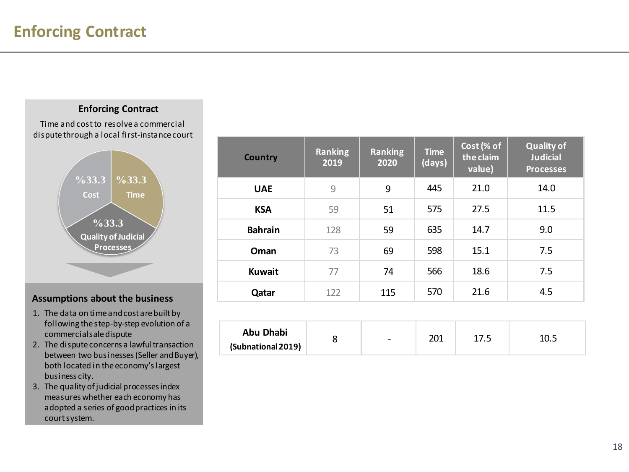### **Enforcing Contract**

Time and cost to resolve a commercial dispute through a local first-instance court



- 1. The data on time and cost are built by following the step-by-step evolution of a commercial sale dispute
- 2. The dispute concerns a lawful transaction between two businesses (Seller and Buyer), both located in the economy's largest business city.
- 3. The quality of judicial processes index measures whether each economy has adopted a series of good practices in its court system.

| <b>Country</b> | <b>Ranking</b><br>2019 | <b>Ranking</b><br>2020 | <b>Time</b><br>(days) | Cost (% of<br>the claim<br>value) | <b>Quality of</b><br><b>Judicial</b><br><b>Processes</b> |
|----------------|------------------------|------------------------|-----------------------|-----------------------------------|----------------------------------------------------------|
| <b>UAE</b>     | $\overline{9}$         | 9                      | 445                   | 21.0                              | 14.0                                                     |
| <b>KSA</b>     | 59                     | 51                     | 575                   | 27.5                              | 11.5                                                     |
| <b>Bahrain</b> | 128                    | 59                     | 635                   | 14.7                              | 9.0                                                      |
| Oman           | 73                     | 69                     | 598                   | 15.1                              | 7.5                                                      |
| <b>Kuwait</b>  | 77                     | 74                     | 566                   | 18.6                              | 7.5                                                      |
| Qatar          | 122                    | 115                    | 570                   | 21.6                              | 4.5                                                      |
|                |                        |                        |                       |                                   |                                                          |

| Abu Dhabi          |  | $\overline{\phantom{0}}$ | ∩∩י<br>∠∪⊥ |  | 10.5 |
|--------------------|--|--------------------------|------------|--|------|
| (Subnational 2019) |  |                          |            |  |      |